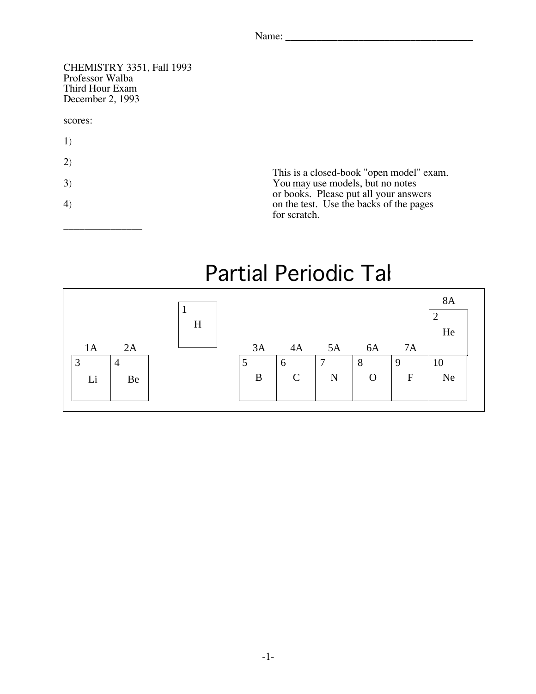| $N$ ame<br>$\cdots$ |  |  |  |  |
|---------------------|--|--|--|--|
|                     |  |  |  |  |

CHEMISTRY 3351, Fall 1993 Third Hour Exam Third Hour Exam<br>December 2, 1993  $Decenbot 2, 1995$ 

## scores:

- 1)
- 2)

\_\_\_\_\_\_\_\_\_\_\_\_\_\_\_

This is a closed-book "open model" exam.<br>You may use models but no notes  $\frac{3}{2}$  and  $\frac{1}{2}$  are models, but no notes or books. Please put all your answers<br>on the test. Use the backs of the pages  $\frac{1}{2}$  on the test. Use the backs of the pages for scratch.

## Partial Periodic Tal

|                     | H |    |             |        |             |             | <b>8A</b><br>$\overline{2}$<br>He |
|---------------------|---|----|-------------|--------|-------------|-------------|-----------------------------------|
| 2A<br>1A            |   | 3A | 4A          | 5A     | 6A          | 7A          |                                   |
| 3<br>$\overline{4}$ |   | 5  | 6           | $\tau$ | 8           | 9           | 10                                |
| Li<br>Be            |   | B  | $\mathbf C$ | N      | $\mathbf O$ | $\mathbf F$ | Ne                                |
|                     |   |    |             |        |             |             |                                   |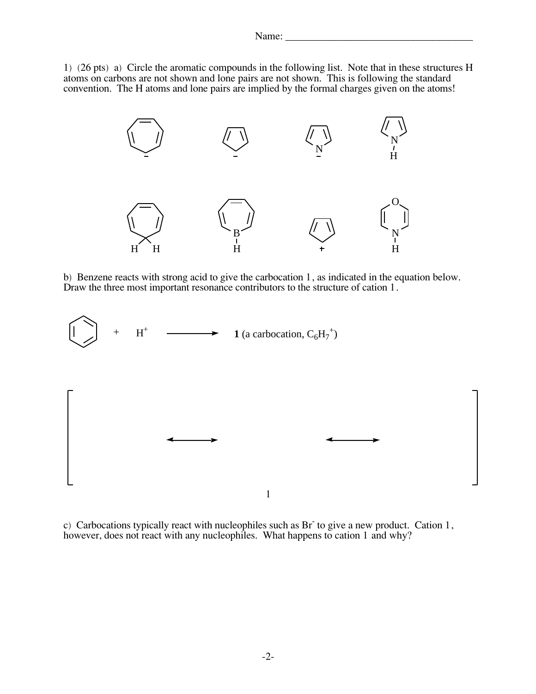1) (26 pts) a) Circle the aromatic compounds in the following list. Note that in these structures H atoms on carbons are not shown and lone pairs are implied by the formal charges given on the atoms convention. The H atoms and lone pairs are implied by the formal charges given on the atoms convention. The H atoms and lone pairs are implied by the formal charges given on the atoms.



 $b)$  Benzene reacts with strong acid to give the carbocation 1, as indicated in the equation below.<br>Draw the three most important resonance contributors to the structure of cation 1. Draw the three most important resonance contributors to the structure of cation 1.



c) Carbocations typically react with nucleophiles such as Br-to give a new product. Cation 1,<br>however, does not react with any nucleophiles. What happens to cation 1 and why? however, does not react with any nucleophiles. What happens to cation 1 and why?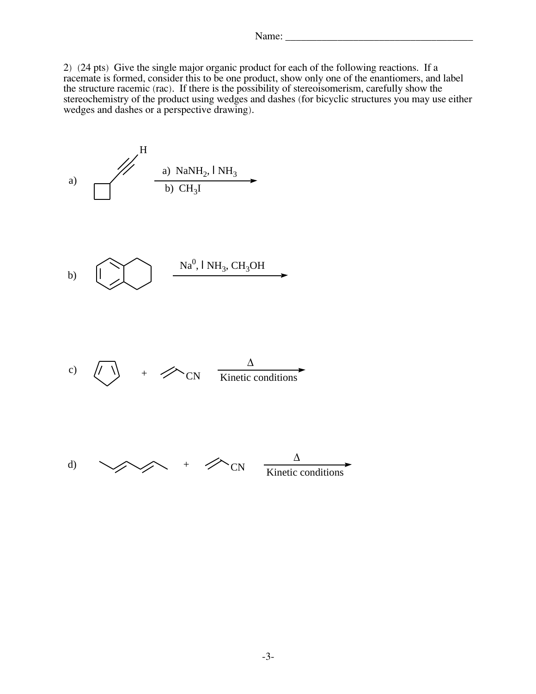2) (24 pts) Give the single major organic product for each of the following reactions. If a the structure racemic (rac). If there is the possibility of stereoisomerism, carefully show the the structure racemic (rac). If there is the possibility of stereoisomerism, carefully show the<br>stereochemistry of the product using wedges and dashes (for bicyclic structures you may us stereochemistry of the product using wedges and dashes (for bicyclic structures you may use either<br>wedges and dashes or a perspective drawing) wedges and dashes or a perspective drawing).

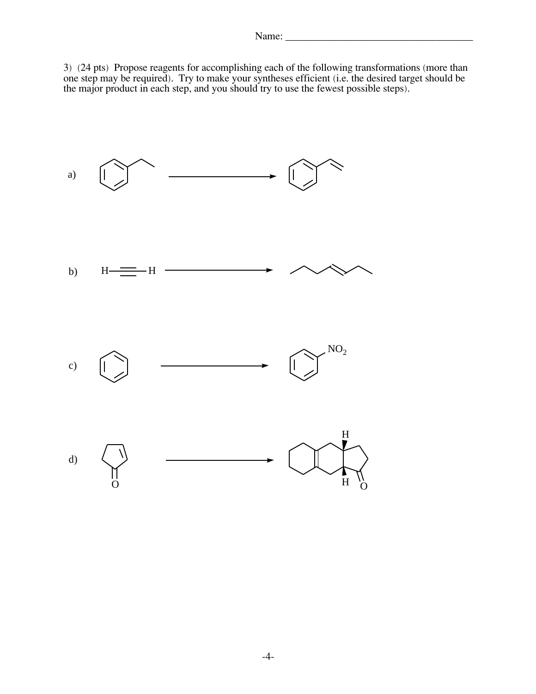$\frac{3}{2}$  (24 pts) Propose reagents for accomplishing each of the following transformations (more than<br>one step may be required) Try to make your syntheses efficient (i.e. the desired target should be one step may be required). Try to make your syntheses efficient (i.e. the desired target should be<br>the major product in each step, and you should try to use the fewest possible steps) the major product in each step, and you should try to use the fewest possible steps).

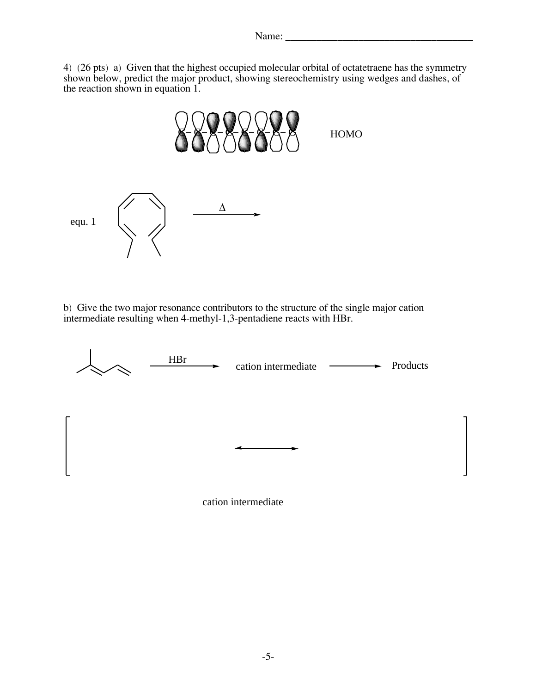$\blacksquare$ 

 $\frac{4}{3}$  (26 pts) a) Given that the highest occupied molecular orbital of octatetrations has the symmetry shown below predict the major product showing stereochemistry using wedges and dashes of shown below, predict the major product, showing stereochemistry using wedges and dashes, or<br>the reaction shown in equation 1



b) Give the two major resonance contributors to the structure of the single major cation<br>intermediate resulting when 4-methyl-1 3-pentadiene reacts with HRr intermediate resulting when 4-methyl-1,3-pentadiene reacts with HBr.

|   | <b>HBr</b> | cation intermediate | Products<br>$\overline{\phantom{a}}$<br>► |
|---|------------|---------------------|-------------------------------------------|
| г |            |                     |                                           |
|   |            |                     |                                           |
| L |            |                     |                                           |

cation intermediate